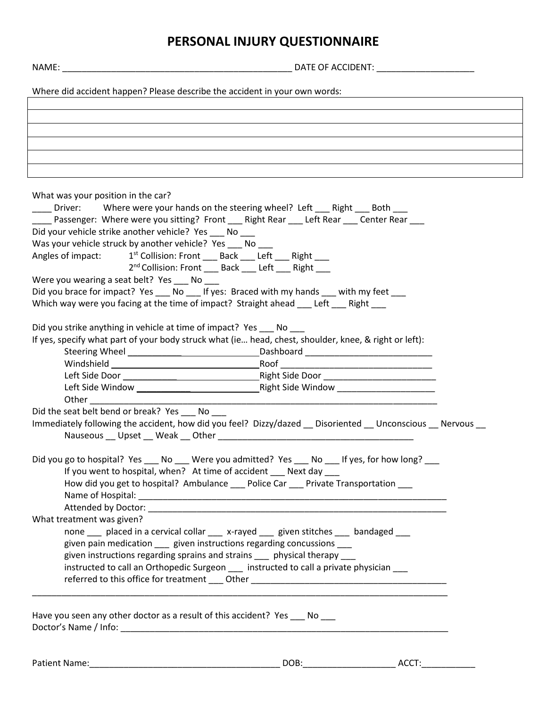# **PERSONAL INJURY QUESTIONNAIRE**

|  | NAME: |  |
|--|-------|--|
|  |       |  |

NAME: \_\_\_\_\_\_\_\_\_\_\_\_\_\_\_\_\_\_\_\_\_\_\_\_\_\_\_\_\_\_\_\_\_\_\_\_\_\_\_\_\_\_\_\_\_\_\_ DATE OF ACCIDENT: \_\_\_\_\_\_\_\_\_\_\_\_\_\_\_\_\_\_\_\_

Where did accident happen? Please describe the accident in your own words:

| What was your position in the car?                                                                                                                                             |  |
|--------------------------------------------------------------------------------------------------------------------------------------------------------------------------------|--|
| Driver: Where were your hands on the steering wheel? Left ___ Right ___ Both ___                                                                                               |  |
| ____ Passenger: Where were you sitting? Front ___ Right Rear ___ Left Rear ___ Center Rear ___                                                                                 |  |
| Did your vehicle strike another vehicle? Yes ____ No ____                                                                                                                      |  |
| Was your vehicle struck by another vehicle? Yes ___ No ___                                                                                                                     |  |
| Angles of impact: 1 <sup>st</sup> Collision: Front ___ Back ___ Left ___ Right ___                                                                                             |  |
| 2 <sup>nd</sup> Collision: Front ___ Back ___ Left ___ Right ___                                                                                                               |  |
| Were you wearing a seat belt? Yes ____ No                                                                                                                                      |  |
|                                                                                                                                                                                |  |
| Did you brace for impact? Yes ___ No ___ If yes: Braced with my hands ___ with my feet ___                                                                                     |  |
| Which way were you facing at the time of impact? Straight ahead ___ Left ___ Right ___                                                                                         |  |
|                                                                                                                                                                                |  |
| Did you strike anything in vehicle at time of impact? Yes ____ No ___<br>If yes, specify what part of your body struck what (ie head, chest, shoulder, knee, & right or left): |  |
|                                                                                                                                                                                |  |
|                                                                                                                                                                                |  |
|                                                                                                                                                                                |  |
|                                                                                                                                                                                |  |
|                                                                                                                                                                                |  |
| Other                                                                                                                                                                          |  |
| Did the seat belt bend or break? Yes ____ No<br>Immediately following the accident, how did you feel? Dizzy/dazed _ Disoriented _ Unconscious _ Nervous _                      |  |
|                                                                                                                                                                                |  |
|                                                                                                                                                                                |  |
| Did you go to hospital? Yes ___ No ___ Were you admitted? Yes ___ No ___ If yes, for how long? ___                                                                             |  |
| If you went to hospital, when? At time of accident Next day                                                                                                                    |  |
| How did you get to hospital? Ambulance ____ Police Car ____ Private Transportation ___                                                                                         |  |
| Name of Hospital: Name of Hospital:                                                                                                                                            |  |
|                                                                                                                                                                                |  |
| What treatment was given?                                                                                                                                                      |  |
| none _____ placed in a cervical collar ______ x-rayed ______ given stitches ______ bandaged                                                                                    |  |
| given pain medication given instructions regarding concussions                                                                                                                 |  |
| given instructions regarding sprains and strains ___ physical therapy ___                                                                                                      |  |
| instructed to call an Orthopedic Surgeon ___ instructed to call a private physician ___                                                                                        |  |
|                                                                                                                                                                                |  |
|                                                                                                                                                                                |  |
|                                                                                                                                                                                |  |
| Have you seen any other doctor as a result of this accident? Yes ___ No ___                                                                                                    |  |
|                                                                                                                                                                                |  |
|                                                                                                                                                                                |  |
|                                                                                                                                                                                |  |
| ACCT:                                                                                                                                                                          |  |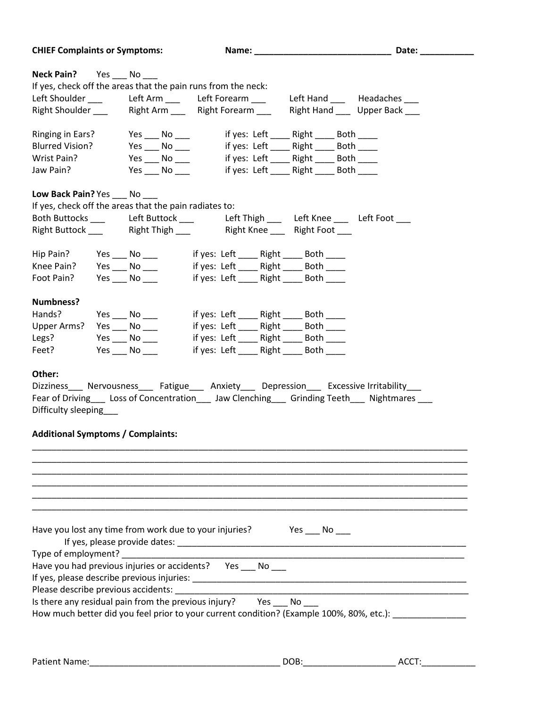### **CHIEF Complaints or Symptoms: Name: \_\_\_\_\_\_\_\_\_\_\_\_\_\_\_\_\_\_\_\_\_\_\_\_\_\_\_\_ Date: \_\_\_\_\_\_\_\_\_\_\_**

| Neck Pain? Yes No                                                                                                                                                                                             |  |                                                    |  |                                             |  |  |
|---------------------------------------------------------------------------------------------------------------------------------------------------------------------------------------------------------------|--|----------------------------------------------------|--|---------------------------------------------|--|--|
| If yes, check off the areas that the pain runs from the neck:                                                                                                                                                 |  |                                                    |  |                                             |  |  |
| Left Shoulder ___________Left Arm ________Left Forearm _________Left Hand ______Headaches ____                                                                                                                |  |                                                    |  |                                             |  |  |
| Right Shoulder _________ Right Arm _______ Right Forearm ________ Right Hand _____ Upper Back                                                                                                                 |  |                                                    |  |                                             |  |  |
| Ringing in Ears? Yes No                                                                                                                                                                                       |  |                                                    |  | if yes: Left ______ Right ______ Both _____ |  |  |
| <b>Blurred Vision?</b>                                                                                                                                                                                        |  | $Yes$ _____ No _____                               |  | if yes: Left _____ Right _____ Both ____    |  |  |
| Wrist Pain?                                                                                                                                                                                                   |  |                                                    |  | if yes: Left _____ Right _____ Both _____   |  |  |
| Jaw Pain?                                                                                                                                                                                                     |  | Yes $\rule{1em}{0.15mm}$ No $\rule{1.5mm}{0.15mm}$ |  | if yes: Left ______ Right ______ Both _____ |  |  |
|                                                                                                                                                                                                               |  |                                                    |  |                                             |  |  |
| Low Back Pain? Yes No                                                                                                                                                                                         |  |                                                    |  |                                             |  |  |
| If yes, check off the areas that the pain radiates to:                                                                                                                                                        |  |                                                    |  |                                             |  |  |
| Both Buttocks _____  Left Buttock ____   Left Thigh ____ Left Knee ____ Left Foot ___                                                                                                                         |  |                                                    |  |                                             |  |  |
| Right Buttock ____ Right Thigh ____ Right Knee ___ Right Foot ___                                                                                                                                             |  |                                                    |  |                                             |  |  |
|                                                                                                                                                                                                               |  |                                                    |  |                                             |  |  |
| Hip Pain? Yes ____ No ____                                                                                                                                                                                    |  |                                                    |  |                                             |  |  |
| Knee Pain? Yes ___ No ___ if yes: Left ____ Right ____ Both ___                                                                                                                                               |  |                                                    |  |                                             |  |  |
| Foot Pain? Yes No                                                                                                                                                                                             |  |                                                    |  | if yes: Left _____ Right _____ Both _____   |  |  |
|                                                                                                                                                                                                               |  |                                                    |  |                                             |  |  |
| Numbness?                                                                                                                                                                                                     |  |                                                    |  |                                             |  |  |
| Hands?                                                                                                                                                                                                        |  | $Yes \_\_No \_\_$                                  |  | if yes: Left _____ Right _____ Both ____    |  |  |
| Upper Arms? Yes ____ No ____                                                                                                                                                                                  |  |                                                    |  | if yes: Left _____ Right _____ Both ____    |  |  |
| Legs? Yes No                                                                                                                                                                                                  |  |                                                    |  | if yes: Left _____ Right _____ Both ____    |  |  |
| Feet? Yes No                                                                                                                                                                                                  |  |                                                    |  | if yes: Left _____ Right _____ Both ____    |  |  |
| Other:<br>Dizziness Nervousness Fatigue Anxiety Depression Excessive Irritability<br>Fear of Driving____ Loss of Concentration____ Jaw Clenching____ Grinding Teeth____ Nightmares ___<br>Difficulty sleeping |  |                                                    |  |                                             |  |  |
| <b>Additional Symptoms / Complaints:</b>                                                                                                                                                                      |  |                                                    |  |                                             |  |  |
|                                                                                                                                                                                                               |  |                                                    |  |                                             |  |  |
|                                                                                                                                                                                                               |  |                                                    |  |                                             |  |  |
|                                                                                                                                                                                                               |  |                                                    |  |                                             |  |  |
|                                                                                                                                                                                                               |  |                                                    |  |                                             |  |  |
|                                                                                                                                                                                                               |  |                                                    |  |                                             |  |  |
| Have you lost any time from work due to your injuries? Yes __ No __                                                                                                                                           |  |                                                    |  |                                             |  |  |
| Have you had previous injuries or accidents?  Yes ___ No ___                                                                                                                                                  |  |                                                    |  |                                             |  |  |
|                                                                                                                                                                                                               |  |                                                    |  |                                             |  |  |
|                                                                                                                                                                                                               |  |                                                    |  |                                             |  |  |
|                                                                                                                                                                                                               |  |                                                    |  |                                             |  |  |
| Is there any residual pain from the previous injury? Yes ___ No __<br>How much better did you feel prior to your current condition? (Example 100%, 80%, etc.): ________________                               |  |                                                    |  |                                             |  |  |
|                                                                                                                                                                                                               |  |                                                    |  |                                             |  |  |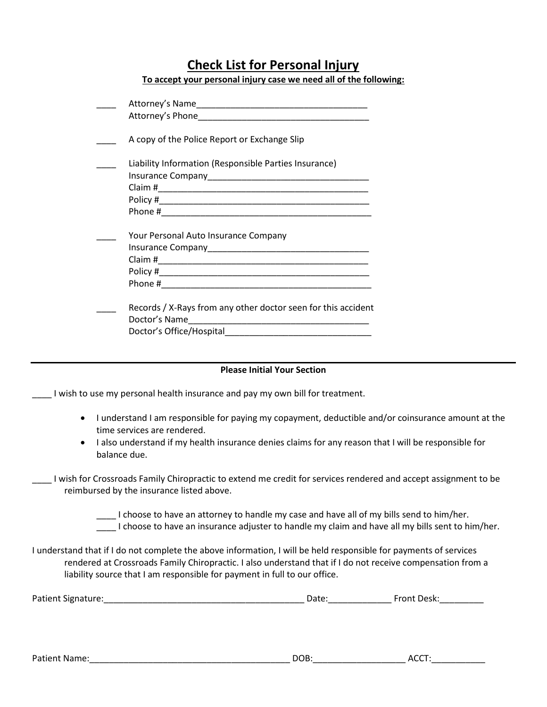### **Check List for Personal Injury**

| To accept your personal injury case we need all of the following: |
|-------------------------------------------------------------------|
|-------------------------------------------------------------------|

| A copy of the Police Report or Exchange Slip                                   |
|--------------------------------------------------------------------------------|
| Liability Information (Responsible Parties Insurance)                          |
|                                                                                |
| Your Personal Auto Insurance Company<br>Phone #                                |
| Records / X-Rays from any other doctor seen for this accident<br>Doctor's Name |

#### **Please Initial Your Section**

I wish to use my personal health insurance and pay my own bill for treatment.

- I understand I am responsible for paying my copayment, deductible and/or coinsurance amount at the time services are rendered.
- I also understand if my health insurance denies claims for any reason that I will be responsible for balance due.
- \_\_\_\_ I wish for Crossroads Family Chiropractic to extend me credit for services rendered and accept assignment to be reimbursed by the insurance listed above.
	- \_\_\_\_ I choose to have an attorney to handle my case and have all of my bills send to him/her.
	- \_\_\_\_ I choose to have an insurance adjuster to handle my claim and have all my bills sent to him/her.
- I understand that if I do not complete the above information, I will be held responsible for payments of services rendered at Crossroads Family Chiropractic. I also understand that if I do not receive compensation from a liability source that I am responsible for payment in full to our office.

| Patient.<br>Signature: | Date | Desk:<br>$\sim$ $\sim$ $+$<br>m |
|------------------------|------|---------------------------------|
|                        |      |                                 |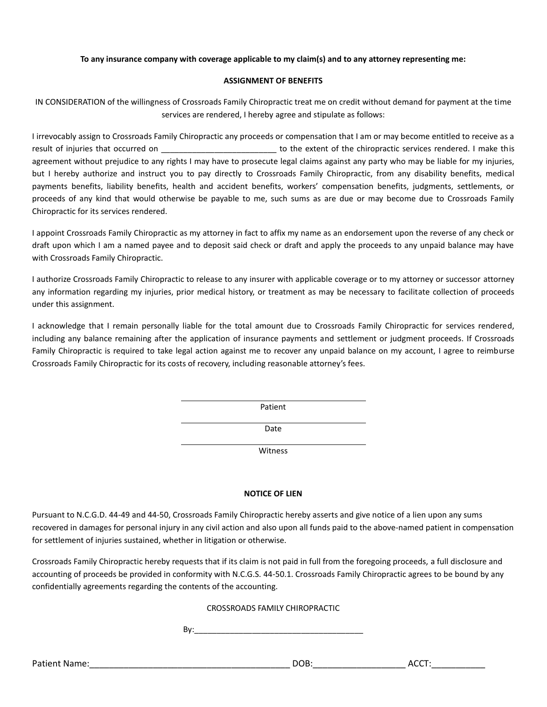#### **To any insurance company with coverage applicable to my claim(s) and to any attorney representing me:**

#### **ASSIGNMENT OF BENEFITS**

IN CONSIDERATION of the willingness of Crossroads Family Chiropractic treat me on credit without demand for payment at the time services are rendered, I hereby agree and stipulate as follows:

I irrevocably assign to Crossroads Family Chiropractic any proceeds or compensation that I am or may become entitled to receive as a result of injuries that occurred on extent of the extent of the chiropractic services rendered. I make this agreement without prejudice to any rights I may have to prosecute legal claims against any party who may be liable for my injuries, but I hereby authorize and instruct you to pay directly to Crossroads Family Chiropractic, from any disability benefits, medical payments benefits, liability benefits, health and accident benefits, workers' compensation benefits, judgments, settlements, or proceeds of any kind that would otherwise be payable to me, such sums as are due or may become due to Crossroads Family Chiropractic for its services rendered.

I appoint Crossroads Family Chiropractic as my attorney in fact to affix my name as an endorsement upon the reverse of any check or draft upon which I am a named payee and to deposit said check or draft and apply the proceeds to any unpaid balance may have with Crossroads Family Chiropractic.

I authorize Crossroads Family Chiropractic to release to any insurer with applicable coverage or to my attorney or successor attorney any information regarding my injuries, prior medical history, or treatment as may be necessary to facilitate collection of proceeds under this assignment.

I acknowledge that I remain personally liable for the total amount due to Crossroads Family Chiropractic for services rendered, including any balance remaining after the application of insurance payments and settlement or judgment proceeds. If Crossroads Family Chiropractic is required to take legal action against me to recover any unpaid balance on my account, I agree to reimburse Crossroads Family Chiropractic for its costs of recovery, including reasonable attorney's fees.

Patient

Date

Witness

#### **NOTICE OF LIEN**

Pursuant to N.C.G.D. 44-49 and 44-50, Crossroads Family Chiropractic hereby asserts and give notice of a lien upon any sums recovered in damages for personal injury in any civil action and also upon all funds paid to the above-named patient in compensation for settlement of injuries sustained, whether in litigation or otherwise.

Crossroads Family Chiropractic hereby requests that if its claim is not paid in full from the foregoing proceeds, a full disclosure and accounting of proceeds be provided in conformity with N.C.G.S. 44-50.1. Crossroads Family Chiropractic agrees to be bound by any confidentially agreements regarding the contents of the accounting.

#### CROSSROADS FAMILY CHIROPRACTIC

By:\_\_\_\_\_\_\_\_\_\_\_\_\_\_\_\_\_\_\_\_\_\_\_\_\_\_\_\_\_\_\_\_\_\_\_\_\_\_

Patient Name: The Contract of the Contract of the Contract of the Contract of the Contract of the Contract of the Contract of the Contract of the Contract of the Contract of the Contract of the Contract of the Contract of